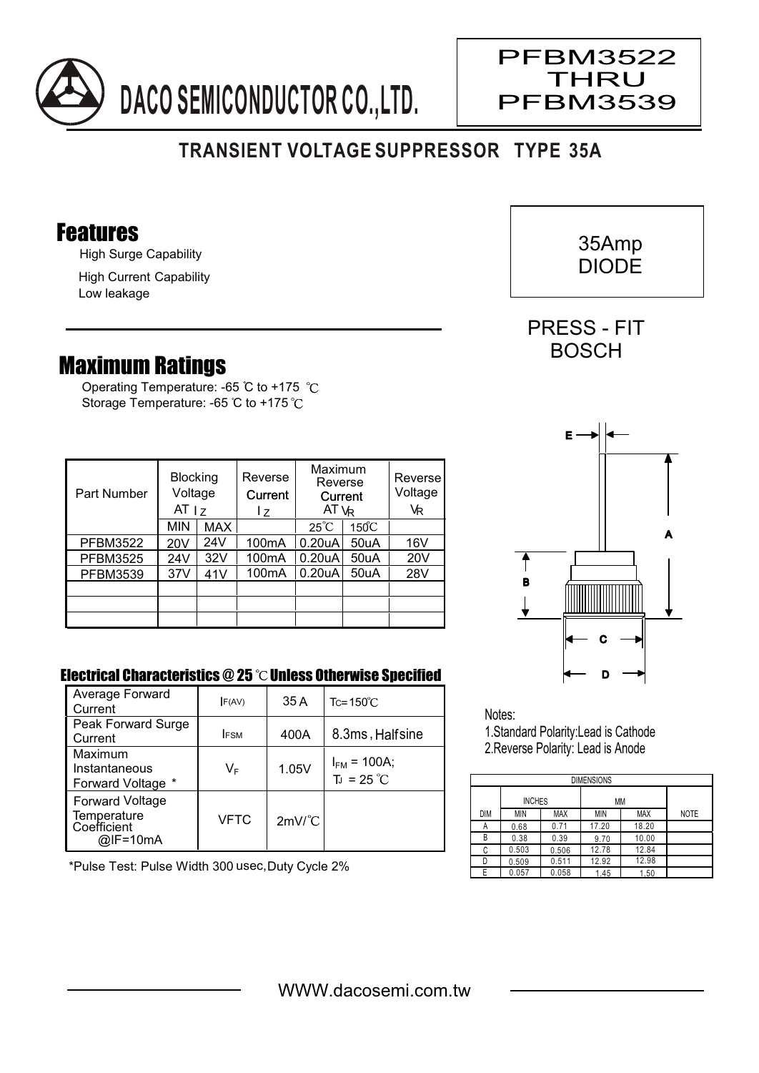

## **TRANSIENT VOLTAGE SUPPRESSOR TYPE 35A**

## Features

High Surge Capability

High Current Capability Low leakage

## Maximum Ratings

Operating Temperature: -65 °C to +175 °C Storage Temperature: -65 °C to +175 °C

| Part Number     | <b>Blocking</b><br>Voltage<br>AT <sub>17</sub> |     | Reverse<br>Current<br>I z | Maximum<br>Reverse<br>Current<br>AT VR |                 | Reverse<br>Voltage<br>VR |
|-----------------|------------------------------------------------|-----|---------------------------|----------------------------------------|-----------------|--------------------------|
|                 | <b>MIN</b>                                     | MAX |                           | $25^{\circ}C$                          | $150^{\circ}$ C |                          |
| <b>PFBM3522</b> | 20V                                            | 24V | 100 <sub>m</sub> A        | 0.20 <sub>u</sub> A                    | 50uA            | 16V                      |
| <b>PFBM3525</b> | 24V                                            | 32V | 100 <sub>m</sub> A        | 0.20 <sub>u</sub> A                    | 50uA            | 20V                      |
| <b>PFBM3539</b> | 37V                                            | 41V | 100 <sub>m</sub> A        | 0.20 <sub>u</sub> A                    | 50uA            | 28V                      |
|                 |                                                |     |                           |                                        |                 |                          |
|                 |                                                |     |                           |                                        |                 |                          |
|                 |                                                |     |                           |                                        |                 |                          |

## Electrical Characteristics @ 25 °C Unless Otherwise Specified

| Average Forward<br>Current                                          | F(AV)       | 35 A                 | $Tc = 150^{\circ}$ C                    |
|---------------------------------------------------------------------|-------------|----------------------|-----------------------------------------|
| Peak Forward Surge<br>Current                                       | <b>IFSM</b> | 400A                 | 8.3ms, Halfsine                         |
| Maximum<br>Instantaneous<br>Forward Voltage *                       | VF          | 1.05V                | $I_{FM}$ = 100A;<br>$T_J = 25^{\circ}C$ |
| <b>Forward Voltage</b><br>Temperature<br>Coefficient<br>$@$ IF=10mA | VFTC        | $2mV$ <sup>°</sup> C |                                         |

\*Pulse Test: Pulse Width 300 usec,Duty Cycle 2%



Notes:

1.Standard Polarity:Lead is Cathode 2.Reverse Polarity: Lead is Anode

| <b>DIMENSIONS</b> |               |            |       |            |             |  |  |  |  |  |
|-------------------|---------------|------------|-------|------------|-------------|--|--|--|--|--|
|                   |               |            |       |            |             |  |  |  |  |  |
|                   | <b>INCHES</b> |            | МM    |            |             |  |  |  |  |  |
| <b>DIM</b>        | <b>MIN</b>    | <b>MAX</b> | MIN   | <b>MAX</b> | <b>NOTE</b> |  |  |  |  |  |
| А                 | 0.68          | 0.71       | 17.20 | 18.20      |             |  |  |  |  |  |
| В                 | 0.38          | 0.39       | 9.70  | 10.00      |             |  |  |  |  |  |
| C                 | 0.503         | 0.506      | 12.78 | 12.84      |             |  |  |  |  |  |
| D                 | 0.509         | 0.511      | 12.92 | 12.98      |             |  |  |  |  |  |
|                   | 0.057         | 0.058      | 1.45  | 1.50       |             |  |  |  |  |  |



PFBM3522 THRU

PFBM3539

PRESS - FIT BOSCH

 $\overline{\phantom{a}}$